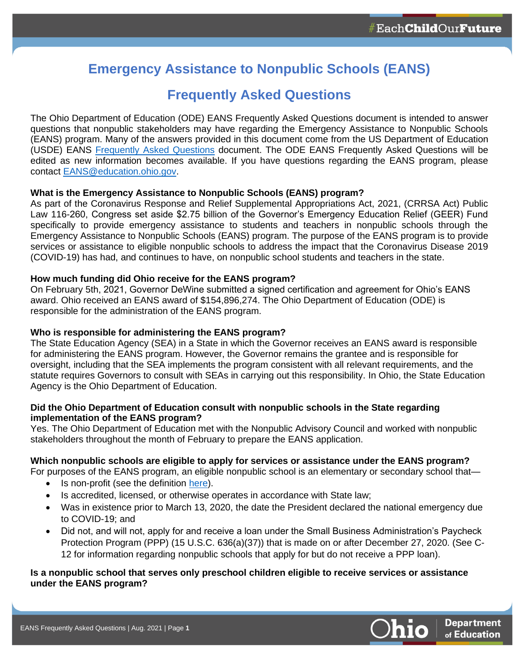# **Emergency Assistance to Nonpublic Schools (EANS)**

# **Frequently Asked Questions**

The Ohio Department of Education (ODE) EANS Frequently Asked Questions document is intended to answer questions that nonpublic stakeholders may have regarding the Emergency Assistance to Nonpublic Schools (EANS) program. Many of the answers provided in this document come from the US Department of Education (USDE) EANS [Frequently Asked Questions](https://oese.ed.gov/files/2021/03/Final-EANS-FAQ-2.0-3.19.21.pdf) document. The ODE EANS Frequently Asked Questions will be edited as new information becomes available. If you have questions regarding the EANS program, please contact [EANS@education.ohio.gov.](mailto:EANS@education.ohio.gov)

# **What is the Emergency Assistance to Nonpublic Schools (EANS) program?**

As part of the Coronavirus Response and Relief Supplemental Appropriations Act, 2021, (CRRSA Act) Public Law 116-260, Congress set aside \$2.75 billion of the Governor's Emergency Education Relief (GEER) Fund specifically to provide emergency assistance to students and teachers in nonpublic schools through the Emergency Assistance to Nonpublic Schools (EANS) program. The purpose of the EANS program is to provide services or assistance to eligible nonpublic schools to address the impact that the Coronavirus Disease 2019 (COVID-19) has had, and continues to have, on nonpublic school students and teachers in the state.

## **How much funding did Ohio receive for the EANS program?**

On February 5th, 2021, Governor DeWine submitted a signed certification and agreement for Ohio's EANS award. Ohio received an EANS award of \$154,896,274. The Ohio Department of Education (ODE) is responsible for the administration of the EANS program.

# **Who is responsible for administering the EANS program?**

The State Education Agency (SEA) in a State in which the Governor receives an EANS award is responsible for administering the EANS program. However, the Governor remains the grantee and is responsible for oversight, including that the SEA implements the program consistent with all relevant requirements, and the statute requires Governors to consult with SEAs in carrying out this responsibility. In Ohio, the State Education Agency is the Ohio Department of Education.

## **Did the Ohio Department of Education consult with nonpublic schools in the State regarding implementation of the EANS program?**

Yes. The Ohio Department of Education met with the Nonpublic Advisory Council and worked with nonpublic stakeholders throughout the month of February to prepare the EANS application.

# **Which nonpublic schools are eligible to apply for services or assistance under the EANS program?**

- For purposes of the EANS program, an eligible nonpublic school is an elementary or secondary school that
	- Is non-profit (see the definition [here\)](https://ccip.ode.state.oh.us/documentlibrary/ViewDocument.aspx?DocumentKey=85410).
	- Is accredited, licensed, or otherwise operates in accordance with State law;
	- Was in existence prior to March 13, 2020, the date the President declared the national emergency due to COVID-19; and
	- Did not, and will not, apply for and receive a loan under the Small Business Administration's Paycheck Protection Program (PPP) (15 U.S.C. 636(a)(37)) that is made on or after December 27, 2020. (See C-12 for information regarding nonpublic schools that apply for but do not receive a PPP loan).

## **Is a nonpublic school that serves only preschool children eligible to receive services or assistance under the EANS program?**

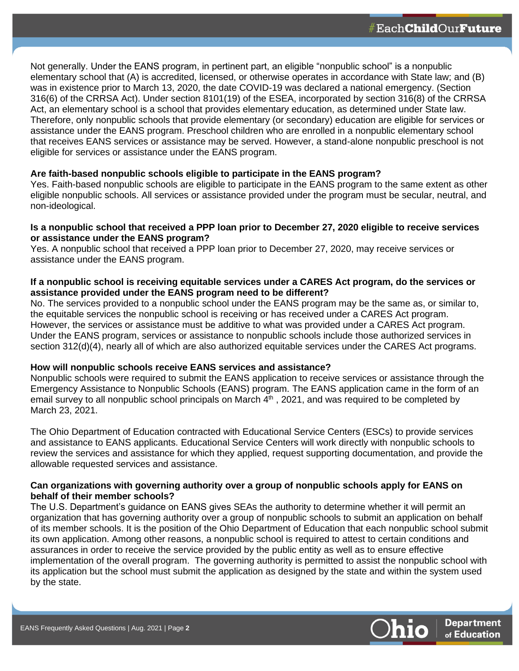Not generally. Under the EANS program, in pertinent part, an eligible "nonpublic school" is a nonpublic elementary school that (A) is accredited, licensed, or otherwise operates in accordance with State law; and (B) was in existence prior to March 13, 2020, the date COVID-19 was declared a national emergency. (Section 316(6) of the CRRSA Act). Under section 8101(19) of the ESEA, incorporated by section 316(8) of the CRRSA Act, an elementary school is a school that provides elementary education, as determined under State law. Therefore, only nonpublic schools that provide elementary (or secondary) education are eligible for services or assistance under the EANS program. Preschool children who are enrolled in a nonpublic elementary school that receives EANS services or assistance may be served. However, a stand-alone nonpublic preschool is not eligible for services or assistance under the EANS program.

## **Are faith-based nonpublic schools eligible to participate in the EANS program?**

Yes. Faith-based nonpublic schools are eligible to participate in the EANS program to the same extent as other eligible nonpublic schools. All services or assistance provided under the program must be secular, neutral, and non-ideological.

#### **Is a nonpublic school that received a PPP loan prior to December 27, 2020 eligible to receive services or assistance under the EANS program?**

Yes. A nonpublic school that received a PPP loan prior to December 27, 2020, may receive services or assistance under the EANS program.

## **If a nonpublic school is receiving equitable services under a CARES Act program, do the services or assistance provided under the EANS program need to be different?**

No. The services provided to a nonpublic school under the EANS program may be the same as, or similar to, the equitable services the nonpublic school is receiving or has received under a CARES Act program. However, the services or assistance must be additive to what was provided under a CARES Act program. Under the EANS program, services or assistance to nonpublic schools include those authorized services in section 312(d)(4), nearly all of which are also authorized equitable services under the CARES Act programs.

# **How will nonpublic schools receive EANS services and assistance?**

Nonpublic schools were required to submit the EANS application to receive services or assistance through the Emergency Assistance to Nonpublic Schools (EANS) program. The EANS application came in the form of an email survey to all nonpublic school principals on March 4<sup>th</sup>, 2021, and was required to be completed by March 23, 2021.

The Ohio Department of Education contracted with Educational Service Centers (ESCs) to provide services and assistance to EANS applicants. Educational Service Centers will work directly with nonpublic schools to review the services and assistance for which they applied, request supporting documentation, and provide the allowable requested services and assistance.

## **Can organizations with governing authority over a group of nonpublic schools apply for EANS on behalf of their member schools?**

The U.S. Department's guidance on EANS gives SEAs the authority to determine whether it will permit an organization that has governing authority over a group of nonpublic schools to submit an application on behalf of its member schools. It is the position of the Ohio Department of Education that each nonpublic school submit its own application. Among other reasons, a nonpublic school is required to attest to certain conditions and assurances in order to receive the service provided by the public entity as well as to ensure effective implementation of the overall program. The governing authority is permitted to assist the nonpublic school with its application but the school must submit the application as designed by the state and within the system used by the state.

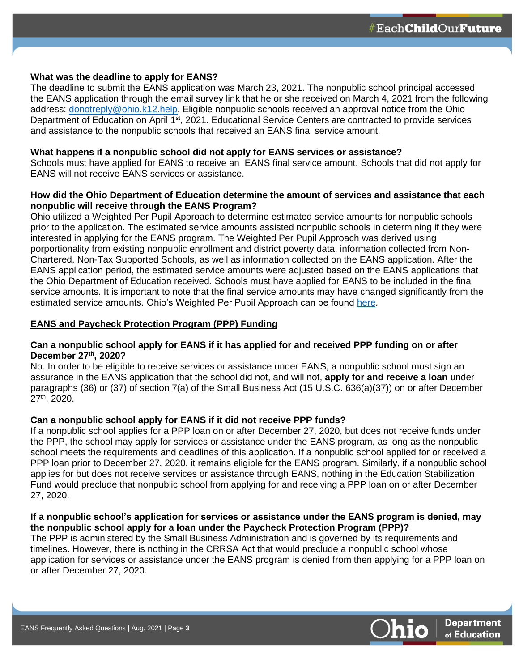#### **What was the deadline to apply for EANS?**

The deadline to submit the EANS application was March 23, 2021. The nonpublic school principal accessed the EANS application through the email survey link that he or she received on March 4, 2021 from the following address: [donotreply@ohio.k12.help.](mailto:donotreply@ohio.k12.help) Eligible nonpublic schools received an approval notice from the Ohio Department of Education on April 1<sup>st</sup>, 2021. Educational Service Centers are contracted to provide services and assistance to the nonpublic schools that received an EANS final service amount.

#### **What happens if a nonpublic school did not apply for EANS services or assistance?**

Schools must have applied for EANS to receive an EANS final service amount. Schools that did not apply for EANS will not receive EANS services or assistance.

#### **How did the Ohio Department of Education determine the amount of services and assistance that each nonpublic will receive through the EANS Program?**

Ohio utilized a Weighted Per Pupil Approach to determine estimated service amounts for nonpublic schools prior to the application. The estimated service amounts assisted nonpublic schools in determining if they were interested in applying for the EANS program. The Weighted Per Pupil Approach was derived using porportionality from existing nonpublic enrollment and district poverty data, information collected from Non-Chartered, Non-Tax Supported Schools, as well as information collected on the EANS application. After the EANS application period, the estimated service amounts were adjusted based on the EANS applications that the Ohio Department of Education received. Schools must have applied for EANS to be included in the final service amounts. It is important to note that the final service amounts may have changed significantly from the estimated service amounts. Ohio's Weighted Per Pupil Approach can be found [here.](https://ccip.ode.state.oh.us/DocumentLibrary/ViewDocument.aspx?DocumentKey=86470)

## **EANS and Paycheck Protection Program (PPP) Funding**

#### **Can a nonpublic school apply for EANS if it has applied for and received PPP funding on or after December 27th, 2020?**

No. In order to be eligible to receive services or assistance under EANS, a nonpublic school must sign an assurance in the EANS application that the school did not, and will not, **apply for and receive a loan** under paragraphs (36) or (37) of section 7(a) of the Small Business Act (15 U.S.C. 636(a)(37)) on or after December 27th, 2020.

# **Can a nonpublic school apply for EANS if it did not receive PPP funds?**

If a nonpublic school applies for a PPP loan on or after December 27, 2020, but does not receive funds under the PPP, the school may apply for services or assistance under the EANS program, as long as the nonpublic school meets the requirements and deadlines of this application. If a nonpublic school applied for or received a PPP loan prior to December 27, 2020, it remains eligible for the EANS program. Similarly, if a nonpublic school applies for but does not receive services or assistance through EANS, nothing in the Education Stabilization Fund would preclude that nonpublic school from applying for and receiving a PPP loan on or after December 27, 2020.

#### **If a nonpublic school's application for services or assistance under the EANS program is denied, may the nonpublic school apply for a loan under the Paycheck Protection Program (PPP)?**

The PPP is administered by the Small Business Administration and is governed by its requirements and timelines. However, there is nothing in the CRRSA Act that would preclude a nonpublic school whose application for services or assistance under the EANS program is denied from then applying for a PPP loan on or after December 27, 2020.

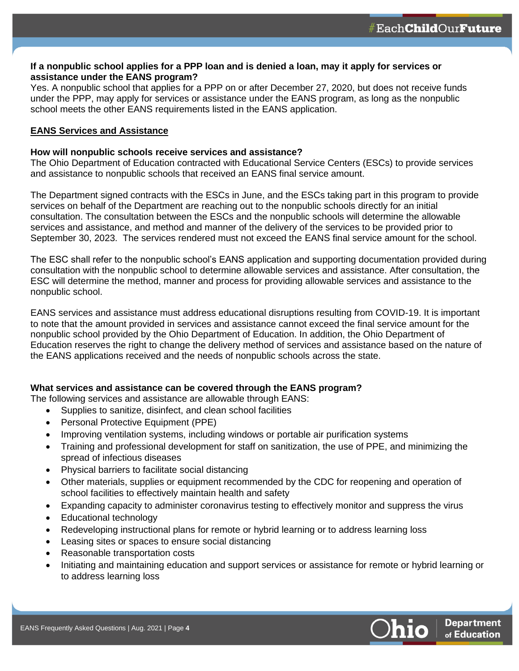## **If a nonpublic school applies for a PPP loan and is denied a loan, may it apply for services or assistance under the EANS program?**

Yes. A nonpublic school that applies for a PPP on or after December 27, 2020, but does not receive funds under the PPP, may apply for services or assistance under the EANS program, as long as the nonpublic school meets the other EANS requirements listed in the EANS application.

#### **EANS Services and Assistance**

#### **How will nonpublic schools receive services and assistance?**

The Ohio Department of Education contracted with Educational Service Centers (ESCs) to provide services and assistance to nonpublic schools that received an EANS final service amount.

The Department signed contracts with the ESCs in June, and the ESCs taking part in this program to provide services on behalf of the Department are reaching out to the nonpublic schools directly for an initial consultation. The consultation between the ESCs and the nonpublic schools will determine the allowable services and assistance, and method and manner of the delivery of the services to be provided prior to September 30, 2023. The services rendered must not exceed the EANS final service amount for the school.

The ESC shall refer to the nonpublic school's EANS application and supporting documentation provided during consultation with the nonpublic school to determine allowable services and assistance. After consultation, the ESC will determine the method, manner and process for providing allowable services and assistance to the nonpublic school.

EANS services and assistance must address educational disruptions resulting from COVID-19. It is important to note that the amount provided in services and assistance cannot exceed the final service amount for the nonpublic school provided by the Ohio Department of Education. In addition, the Ohio Department of Education reserves the right to change the delivery method of services and assistance based on the nature of the EANS applications received and the needs of nonpublic schools across the state.

#### **What services and assistance can be covered through the EANS program?**

The following services and assistance are allowable through EANS:

- Supplies to sanitize, disinfect, and clean school facilities
- Personal Protective Equipment (PPE)
- Improving ventilation systems, including windows or portable air purification systems
- Training and professional development for staff on sanitization, the use of PPE, and minimizing the spread of infectious diseases
- Physical barriers to facilitate social distancing
- Other materials, supplies or equipment recommended by the CDC for reopening and operation of school facilities to effectively maintain health and safety
- Expanding capacity to administer coronavirus testing to effectively monitor and suppress the virus
- Educational technology
- Redeveloping instructional plans for remote or hybrid learning or to address learning loss
- Leasing sites or spaces to ensure social distancing
- Reasonable transportation costs
- Initiating and maintaining education and support services or assistance for remote or hybrid learning or to address learning loss

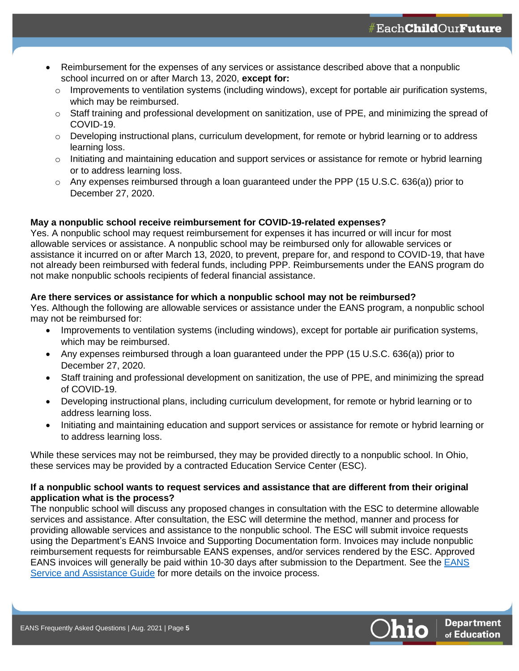- Reimbursement for the expenses of any services or assistance described above that a nonpublic school incurred on or after March 13, 2020, **except for:**
	- $\circ$  Improvements to ventilation systems (including windows), except for portable air purification systems, which may be reimbursed.
	- $\circ$  Staff training and professional development on sanitization, use of PPE, and minimizing the spread of COVID-19.
	- $\circ$  Developing instructional plans, curriculum development, for remote or hybrid learning or to address learning loss.
	- $\circ$  Initiating and maintaining education and support services or assistance for remote or hybrid learning or to address learning loss.
	- o Any expenses reimbursed through a loan guaranteed under the PPP (15 U.S.C. 636(a)) prior to December 27, 2020.

# **May a nonpublic school receive reimbursement for COVID-19-related expenses?**

Yes. A nonpublic school may request reimbursement for expenses it has incurred or will incur for most allowable services or assistance. A nonpublic school may be reimbursed only for allowable services or assistance it incurred on or after March 13, 2020, to prevent, prepare for, and respond to COVID-19, that have not already been reimbursed with federal funds, including PPP. Reimbursements under the EANS program do not make nonpublic schools recipients of federal financial assistance.

## **Are there services or assistance for which a nonpublic school may not be reimbursed?**

Yes. Although the following are allowable services or assistance under the EANS program, a nonpublic school may not be reimbursed for:

- Improvements to ventilation systems (including windows), except for portable air purification systems, which may be reimbursed.
- Any expenses reimbursed through a loan guaranteed under the PPP (15 U.S.C. 636(a)) prior to December 27, 2020.
- Staff training and professional development on sanitization, the use of PPE, and minimizing the spread of COVID-19.
- Developing instructional plans, including curriculum development, for remote or hybrid learning or to address learning loss.
- Initiating and maintaining education and support services or assistance for remote or hybrid learning or to address learning loss.

While these services may not be reimbursed, they may be provided directly to a nonpublic school. In Ohio, these services may be provided by a contracted Education Service Center (ESC).

## **If a nonpublic school wants to request services and assistance that are different from their original application what is the process?**

The nonpublic school will discuss any proposed changes in consultation with the ESC to determine allowable services and assistance. After consultation, the ESC will determine the method, manner and process for providing allowable services and assistance to the nonpublic school. The ESC will submit invoice requests using the Department's EANS Invoice and Supporting Documentation form. Invoices may include nonpublic reimbursement requests for reimbursable EANS expenses, and/or services rendered by the ESC. Approved EANS invoices will generally be paid within 10-30 days after submission to the Department. See the [EANS](https://ccip.ode.state.oh.us/DocumentLibrary/ViewDocument.aspx?DocumentKey=87290)  [Service and Assistance Guide](https://ccip.ode.state.oh.us/DocumentLibrary/ViewDocument.aspx?DocumentKey=87290) for more details on the invoice process.

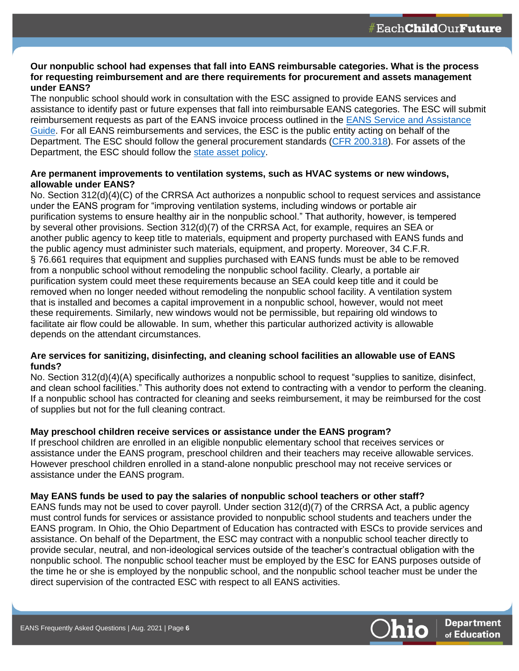#### **Our nonpublic school had expenses that fall into EANS reimbursable categories. What is the process for requesting reimbursement and are there requirements for procurement and assets management under EANS?**

The nonpublic school should work in consultation with the ESC assigned to provide EANS services and assistance to identify past or future expenses that fall into reimbursable EANS categories. The ESC will submit reimbursement requests as part of the EANS invoice process outlined in the [EANS Service and Assistance](https://ccip.ode.state.oh.us/DocumentLibrary/ViewDocument.aspx?DocumentKey=87290)  [Guide.](https://ccip.ode.state.oh.us/DocumentLibrary/ViewDocument.aspx?DocumentKey=87290) For all EANS reimbursements and services, the ESC is the public entity acting on behalf of the Department. The ESC should follow the general procurement standards [\(CFR 200.318\)](https://www.govinfo.gov/app/details/CFR-2014-title2-vol1/CFR-2014-title2-vol1-sec200-318). For assets of the Department, the ESC should follow the [state asset policy.](https://das.ohio.gov/Portals/0/DASDivisions/GeneralServices/AM/pdf/AMS%20Handbook%20Updated%20(2021_2_25).pdf?ver=tnC8B2l0UMvcGnmlZfOOuQ%3d%3d)

## **Are permanent improvements to ventilation systems, such as HVAC systems or new windows, allowable under EANS?**

No. Section 312(d)(4)(C) of the CRRSA Act authorizes a nonpublic school to request services and assistance under the EANS program for "improving ventilation systems, including windows or portable air purification systems to ensure healthy air in the nonpublic school." That authority, however, is tempered by several other provisions. Section 312(d)(7) of the CRRSA Act, for example, requires an SEA or another public agency to keep title to materials, equipment and property purchased with EANS funds and the public agency must administer such materials, equipment, and property. Moreover, 34 C.F.R. § 76.661 requires that equipment and supplies purchased with EANS funds must be able to be removed from a nonpublic school without remodeling the nonpublic school facility. Clearly, a portable air purification system could meet these requirements because an SEA could keep title and it could be removed when no longer needed without remodeling the nonpublic school facility. A ventilation system that is installed and becomes a capital improvement in a nonpublic school, however, would not meet these requirements. Similarly, new windows would not be permissible, but repairing old windows to facilitate air flow could be allowable. In sum, whether this particular authorized activity is allowable depends on the attendant circumstances.

## **Are services for sanitizing, disinfecting, and cleaning school facilities an allowable use of EANS funds?**

No. Section 312(d)(4)(A) specifically authorizes a nonpublic school to request "supplies to sanitize, disinfect, and clean school facilities." This authority does not extend to contracting with a vendor to perform the cleaning. If a nonpublic school has contracted for cleaning and seeks reimbursement, it may be reimbursed for the cost of supplies but not for the full cleaning contract.

# **May preschool children receive services or assistance under the EANS program?**

If preschool children are enrolled in an eligible nonpublic elementary school that receives services or assistance under the EANS program, preschool children and their teachers may receive allowable services. However preschool children enrolled in a stand-alone nonpublic preschool may not receive services or assistance under the EANS program.

# **May EANS funds be used to pay the salaries of nonpublic school teachers or other staff?**

EANS funds may not be used to cover payroll. Under section 312(d)(7) of the CRRSA Act, a public agency must control funds for services or assistance provided to nonpublic school students and teachers under the EANS program. In Ohio, the Ohio Department of Education has contracted with ESCs to provide services and assistance. On behalf of the Department, the ESC may contract with a nonpublic school teacher directly to provide secular, neutral, and non-ideological services outside of the teacher's contractual obligation with the nonpublic school. The nonpublic school teacher must be employed by the ESC for EANS purposes outside of the time he or she is employed by the nonpublic school, and the nonpublic school teacher must be under the direct supervision of the contracted ESC with respect to all EANS activities.